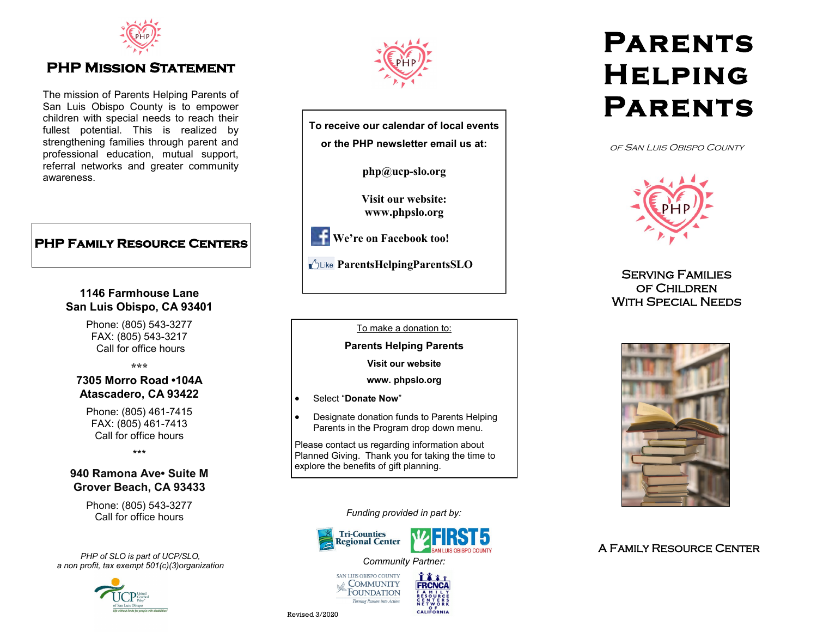

## **PHP MISSION STATEMENT**

The mission of Parents Helping Parents of San Luis Obispo County is to empower children with special needs to reach their fullest potential. This is realized by strengthening families through parent and professional education, mutual support, referral networks and greater community awareness.

### **PHP Family Resource Centers**

### **1146 Farmhouse Lane San Luis Obispo, CA 93401**

Phone: (805) 543-3277 FAX: (805) 543-3217 Call for office hours

**\*\*\***

### **7305 Morro Road •104A Atascadero, CA 93422**

Phone: (805) 461-7415 FAX: (805) 461-7413 Call for office hours

\*\*\*

### **940 Ramona Ave• Suite M Grover Beach, CA 93433**

Phone: (805) 543-3277 Call for office hours

*PHP of SLO is part of UCP/SLO, a non profit, tax exempt 501(c)(3)organization*





**To receive our calendar of local events or the PHP newsletter email us at: php@ucp-slo.org Visit our website: www.phpslo.org**

**We're on Facebook too!**

*<u>ALike ParentsHelpingParentsSLO</u>* 

#### To make a donation to:

**Parents Helping Parents**

**Visit our website**

**www. phpslo.org** 

Select "**Donate Now**"

 Designate donation funds to Parents Helping Parents in the Program drop down menu.

Please contact us regarding information about Planned Giving. Thank you for taking the time to explore the benefits of gift planning.

*Funding provided in part by:*





# **Parents Helping Parents**

of San Luis Obispo County



Serving Families of Children With Special Needs



A Family Resource Center

Revised 3/2020